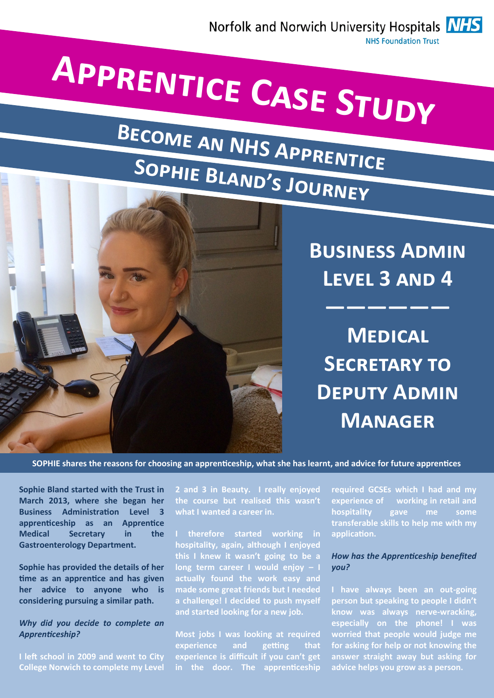

# **Apprentice Case Study**

## **Become an NHS Apprentice Sophie Bland's Journey**



**Business Admin Level 3 and 4**

**——————**

**Medical Secretary to Deputy Admin Manager**

**SOPHIE shares the reasons for choosing an apprenticeship, what she has learnt, and advice for future apprentices**

**Sophie Bland started with the Trust in March 2013, where she began her Business Administration Level 3 apprenticeship as an Apprentice Medical Secretary in the Gastroenterology Department.** 

**Sophie has provided the details of her time as an apprentice and has given her advice to anyone who is considering pursuing a similar path.** 

### *Why did you decide to complete an Apprenticeship?*

**I left school in 2009 and went to City College Norwich to complete my Level**  **2 and 3 in Beauty. I really enjoyed the course but realised this wasn't what I wanted a career in.** 

**I therefore started working in hospitality, again, although I enjoyed this I knew it wasn't going to be a long term career I would enjoy – I actually found the work easy and made some great friends but I needed a challenge! I decided to push myself and started looking for a new job.** 

**Most jobs I was looking at required experience and getting that experience is difficult if you can't get in the door. The apprenticeship**  **required GCSEs which I had and my experience of working in retail and hospitality gave me some transferable skills to help me with my application.** 

### *How has the Apprenticeship benefited you?*

**I have always been an out-going person but speaking to people I didn't know was always nerve-wracking, especially on the phone! I was worried that people would judge me for asking for help or not knowing the answer straight away but asking for advice helps you grow as a person.**